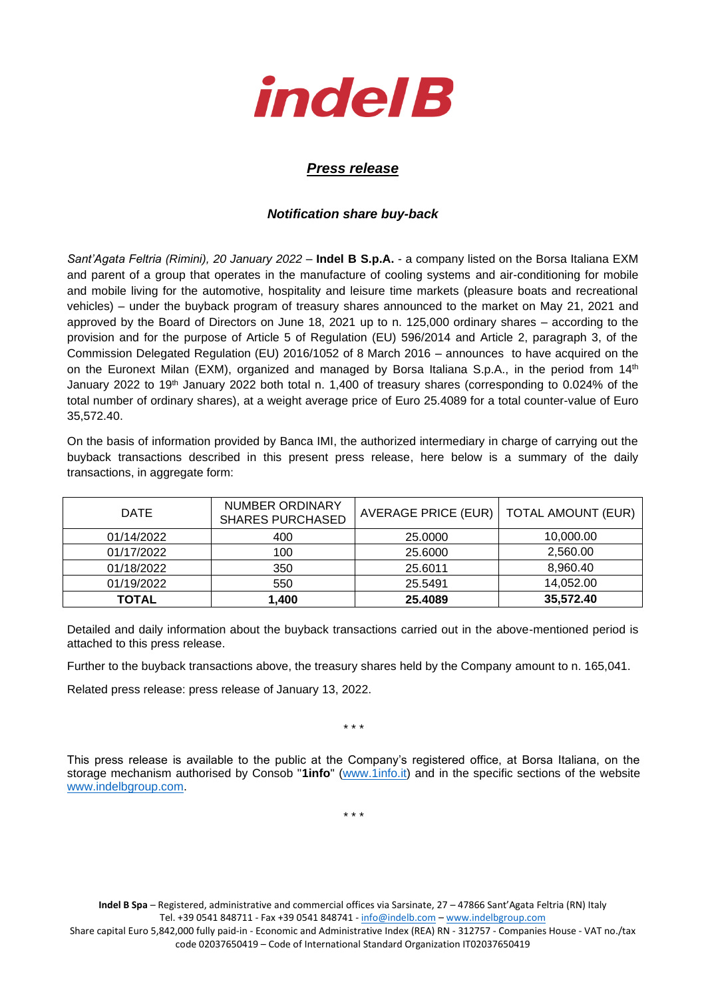

## *Press release*

## *Notification share buy-back*

*Sant'Agata Feltria (Rimini), 20 January 2022* – **Indel B S.p.A.** - a company listed on the Borsa Italiana EXM and parent of a group that operates in the manufacture of cooling systems and air-conditioning for mobile and mobile living for the automotive, hospitality and leisure time markets (pleasure boats and recreational vehicles) – under the buyback program of treasury shares announced to the market on May 21, 2021 and approved by the Board of Directors on June 18, 2021 up to n. 125,000 ordinary shares – according to the provision and for the purpose of Article 5 of Regulation (EU) 596/2014 and Article 2, paragraph 3, of the Commission Delegated Regulation (EU) 2016/1052 of 8 March 2016 – announces to have acquired on the on the Euronext Milan (EXM), organized and managed by Borsa Italiana S.p.A., in the period from 14<sup>th</sup> January 2022 to 19<sup>th</sup> January 2022 both total n. 1,400 of treasury shares (corresponding to 0.024% of the total number of ordinary shares), at a weight average price of Euro 25.4089 for a total counter-value of Euro 35,572.40.

On the basis of information provided by Banca IMI, the authorized intermediary in charge of carrying out the buyback transactions described in this present press release, here below is a summary of the daily transactions, in aggregate form:

| <b>DATE</b>  | NUMBER ORDINARY<br><b>SHARES PURCHASED</b> | AVERAGE PRICE (EUR) | <b>TOTAL AMOUNT (EUR)</b> |
|--------------|--------------------------------------------|---------------------|---------------------------|
| 01/14/2022   | 400                                        | 25,0000             | 10,000.00                 |
| 01/17/2022   | 100                                        | 25,6000             | 2,560.00                  |
| 01/18/2022   | 350                                        | 25.6011             | 8.960.40                  |
| 01/19/2022   | 550                                        | 25.5491             | 14,052.00                 |
| <b>TOTAL</b> | 1,400                                      | 25.4089             | 35,572.40                 |

Detailed and daily information about the buyback transactions carried out in the above-mentioned period is attached to this press release.

Further to the buyback transactions above, the treasury shares held by the Company amount to n. 165,041.

Related press release: press release of January 13, 2022.

\* \* \*

This press release is available to the public at the Company's registered office, at Borsa Italiana, on the storage mechanism authorised by Consob "**1info**" [\(www.1info.it\)](file:///C:/Users/ddelietovollaro/AppData/Local/Microsoft/Windows/INetCache/Content.Outlook/T87B94UR/www.1info.it) and in the specific sections of the website [www.indelbgroup.com.](http://www.indelbgroup.com/)

\* \* \*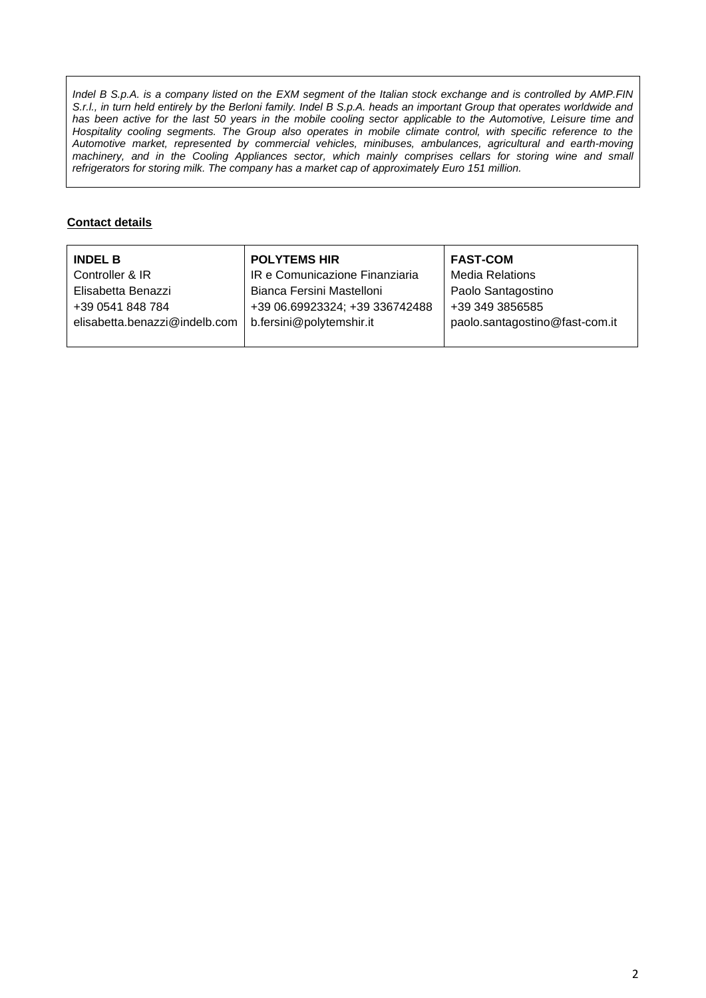*Indel B S.p.A. is a company listed on the EXM segment of the Italian stock exchange and is controlled by AMP.FIN S.r.l., in turn held entirely by the Berloni family. Indel B S.p.A. heads an important Group that operates worldwide and* has been active for the last 50 years in the mobile cooling sector applicable to the Automotive, Leisure time and Hospitality cooling segments. The Group also operates in mobile climate control, with specific reference to the *Automotive market, represented by commercial vehicles, minibuses, ambulances, agricultural and earth-moving machinery, and in the Cooling Appliances sector, which mainly comprises cellars for storing wine and small refrigerators for storing milk. The company has a market cap of approximately Euro 151 million.*

## **Contact details**

| <b>INDEL B</b>                | <b>POLYTEMS HIR</b>            | <b>FAST-COM</b>                |
|-------------------------------|--------------------------------|--------------------------------|
| Controller & IR               | IR e Comunicazione Finanziaria | <b>Media Relations</b>         |
| Elisabetta Benazzi            | Bianca Fersini Mastelloni      | Paolo Santagostino             |
| +39 0541 848 784              | +39 06.69923324; +39 336742488 | +39 349 3856585                |
| elisabetta.benazzi@indelb.com | b.fersini@polytemshir.it       | paolo.santagostino@fast-com.it |
|                               |                                |                                |